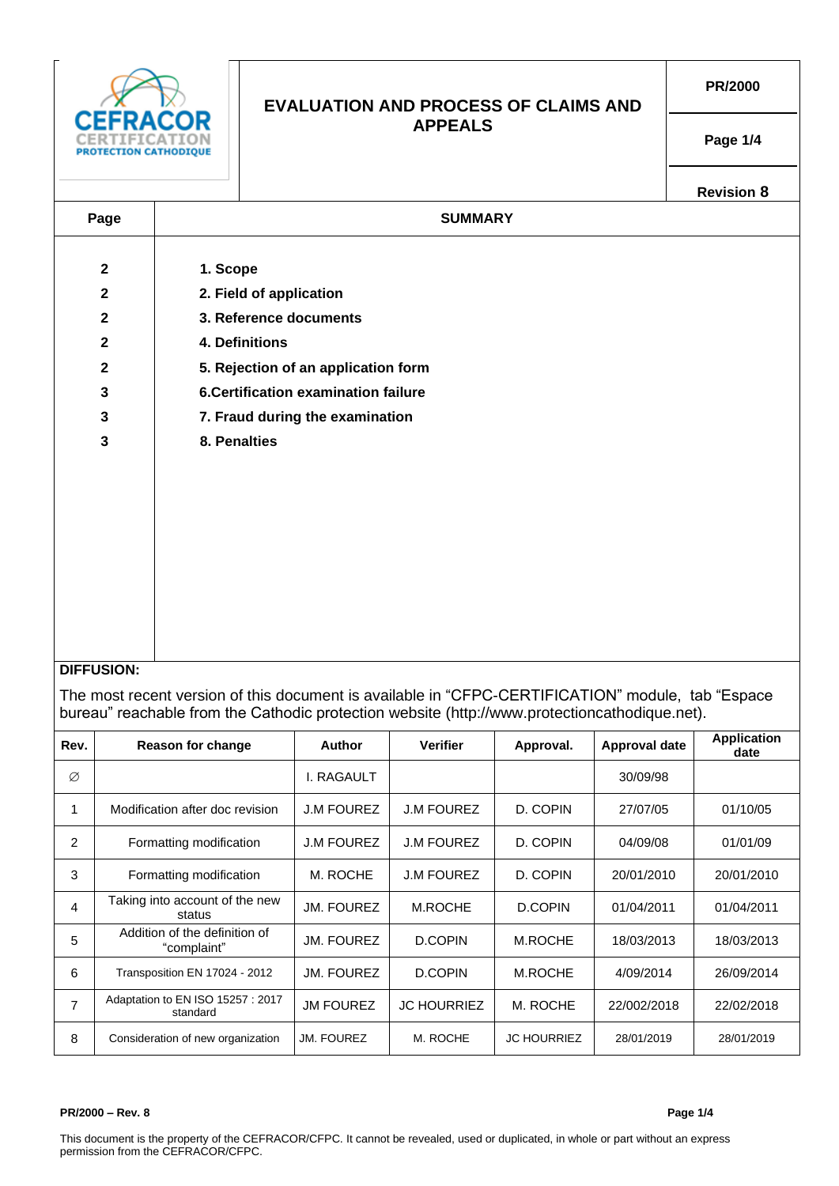| <b>CATHODIOUE</b>       |                                      | <b>EVALUATION AND PROCESS OF CLAIMS AND</b> | PR/2000           |  |  |  |  |  |
|-------------------------|--------------------------------------|---------------------------------------------|-------------------|--|--|--|--|--|
|                         |                                      | <b>APPEALS</b>                              | Page 1/4          |  |  |  |  |  |
|                         |                                      |                                             | <b>Revision 8</b> |  |  |  |  |  |
| Page                    | <b>SUMMARY</b>                       |                                             |                   |  |  |  |  |  |
|                         |                                      |                                             |                   |  |  |  |  |  |
| $\mathbf 2$             | 1. Scope                             |                                             |                   |  |  |  |  |  |
| $\mathbf{2}$            | 2. Field of application              |                                             |                   |  |  |  |  |  |
| $\mathbf{2}$            | 3. Reference documents               |                                             |                   |  |  |  |  |  |
| $\mathbf{2}$            | 4. Definitions                       |                                             |                   |  |  |  |  |  |
| $\mathbf{2}$            | 5. Rejection of an application form  |                                             |                   |  |  |  |  |  |
| $\mathbf{3}$            | 6. Certification examination failure |                                             |                   |  |  |  |  |  |
| $\mathbf{3}$            | 7. Fraud during the examination      |                                             |                   |  |  |  |  |  |
| $\overline{\mathbf{3}}$ | 8. Penalties                         |                                             |                   |  |  |  |  |  |
|                         |                                      |                                             |                   |  |  |  |  |  |
|                         |                                      |                                             |                   |  |  |  |  |  |
|                         |                                      |                                             |                   |  |  |  |  |  |
|                         |                                      |                                             |                   |  |  |  |  |  |
|                         |                                      |                                             |                   |  |  |  |  |  |
|                         |                                      |                                             |                   |  |  |  |  |  |
|                         |                                      |                                             |                   |  |  |  |  |  |
|                         |                                      |                                             |                   |  |  |  |  |  |
|                         |                                      |                                             |                   |  |  |  |  |  |

# **DIFFUSION:**

The most recent version of this document is available in "CFPC-CERTIFICATION" module, tab "Espace bureau" reachable from the Cathodic protection website (http://www.protectioncathodique.net).

| Rev.           | <b>Reason for change</b>                     | <b>Author</b>     | <b>Verifier</b>    | Approval.          | Approval date | <b>Application</b><br>date |
|----------------|----------------------------------------------|-------------------|--------------------|--------------------|---------------|----------------------------|
| Ø              |                                              | I. RAGAULT        |                    |                    | 30/09/98      |                            |
| 1              | Modification after doc revision              | <b>J.M FOUREZ</b> | <b>J.M FOUREZ</b>  | D. COPIN           | 27/07/05      | 01/10/05                   |
| 2              | Formatting modification                      | <b>J.M FOUREZ</b> | <b>J.M FOUREZ</b>  | D. COPIN           | 04/09/08      | 01/01/09                   |
| 3              | Formatting modification                      | M. ROCHE          | <b>J.M FOUREZ</b>  | D. COPIN           | 20/01/2010    | 20/01/2010                 |
| 4              | Taking into account of the new<br>status     | JM. FOUREZ        | M.ROCHE            | D.COPIN            | 01/04/2011    | 01/04/2011                 |
| 5              | Addition of the definition of<br>"complaint" | JM. FOUREZ        | D.COPIN            | M.ROCHE            | 18/03/2013    | 18/03/2013                 |
| 6              | Transposition EN 17024 - 2012                | JM. FOUREZ        | <b>D.COPIN</b>     | M.ROCHE            | 4/09/2014     | 26/09/2014                 |
| $\overline{7}$ | Adaptation to EN ISO 15257: 2017<br>standard | <b>JM FOUREZ</b>  | <b>JC HOURRIEZ</b> | M. ROCHE           | 22/002/2018   | 22/02/2018                 |
| 8              | Consideration of new organization            | <b>JM. FOUREZ</b> | M. ROCHE           | <b>JC HOURRIEZ</b> | 28/01/2019    | 28/01/2019                 |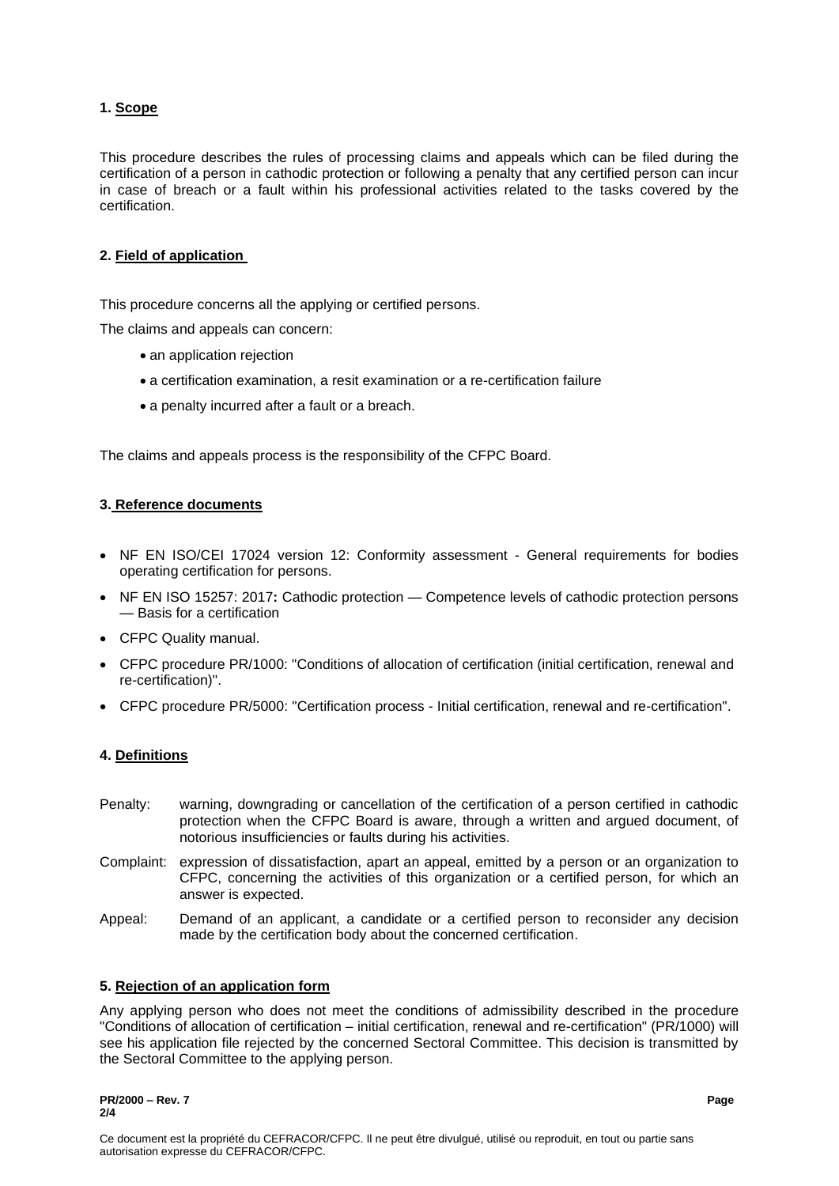# **1. Scope**

This procedure describes the rules of processing claims and appeals which can be filed during the certification of a person in cathodic protection or following a penalty that any certified person can incur in case of breach or a fault within his professional activities related to the tasks covered by the certification.

## **2. Field of application**

This procedure concerns all the applying or certified persons.

The claims and appeals can concern:

- an application rejection
- a certification examination, a resit examination or a re-certification failure
- a penalty incurred after a fault or a breach.

The claims and appeals process is the responsibility of the CFPC Board.

### **3. Reference documents**

- NF EN ISO/CEI 17024 version 12: Conformity assessment General requirements for bodies operating certification for persons.
- NF EN ISO 15257: 2017**:** Cathodic protection Competence levels of cathodic protection persons — Basis for a certification
- CFPC Quality manual.
- CFPC procedure PR/1000: "Conditions of allocation of certification (initial certification, renewal and re-certification)".
- CFPC procedure PR/5000: "Certification process Initial certification, renewal and re-certification".

## **4. Definitions**

- Penalty: warning, downgrading or cancellation of the certification of a person certified in cathodic protection when the CFPC Board is aware, through a written and argued document, of notorious insufficiencies or faults during his activities.
- Complaint: expression of dissatisfaction, apart an appeal, emitted by a person or an organization to CFPC, concerning the activities of this organization or a certified person, for which an answer is expected.
- Appeal: Demand of an applicant, a candidate or a certified person to reconsider any decision made by the certification body about the concerned certification.

#### **5. Rejection of an application form**

Any applying person who does not meet the conditions of admissibility described in the procedure "Conditions of allocation of certification – initial certification, renewal and re-certification" (PR/1000) will see his application file rejected by the concerned Sectoral Committee. This decision is transmitted by the Sectoral Committee to the applying person.

**PR/2000 – Rev. 7 Page 2/4**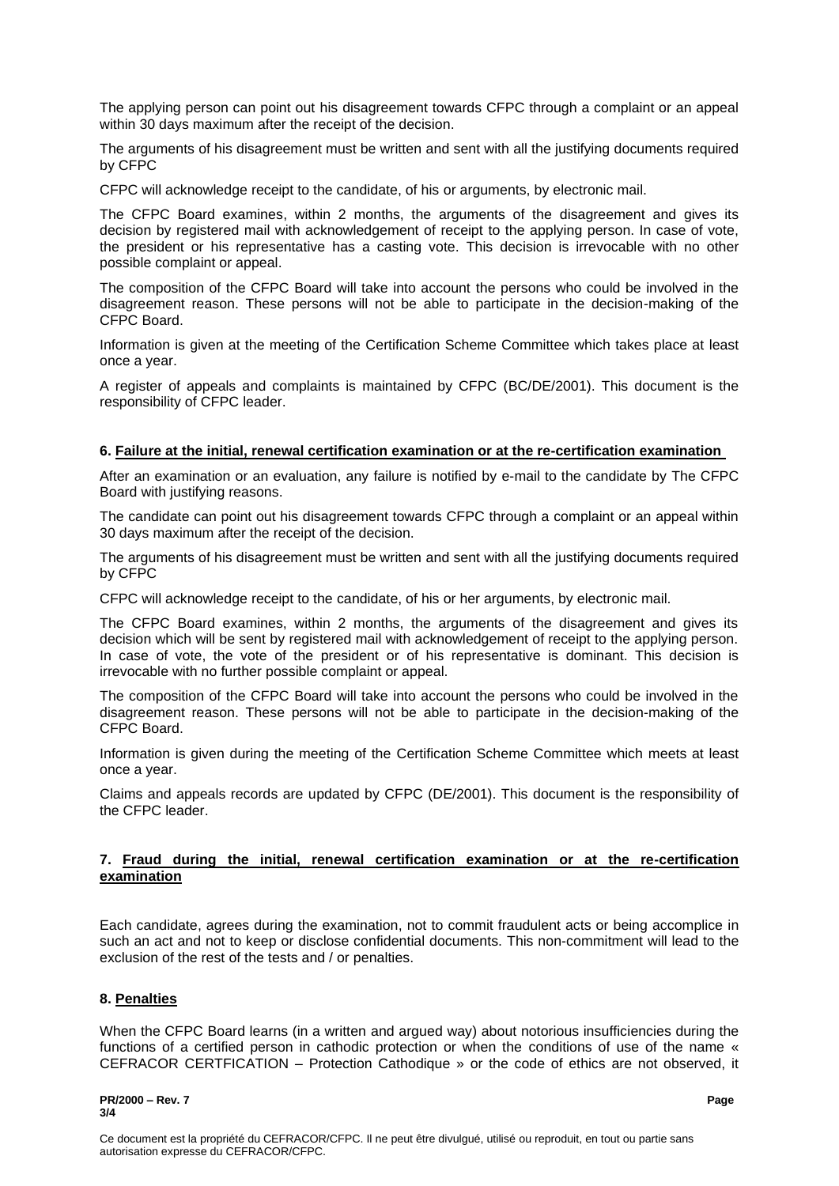The applying person can point out his disagreement towards CFPC through a complaint or an appeal within 30 days maximum after the receipt of the decision.

The arguments of his disagreement must be written and sent with all the justifying documents required by CFPC

CFPC will acknowledge receipt to the candidate, of his or arguments, by electronic mail.

The CFPC Board examines, within 2 months, the arguments of the disagreement and gives its decision by registered mail with acknowledgement of receipt to the applying person. In case of vote, the president or his representative has a casting vote. This decision is irrevocable with no other possible complaint or appeal.

The composition of the CFPC Board will take into account the persons who could be involved in the disagreement reason. These persons will not be able to participate in the decision-making of the CFPC Board.

Information is given at the meeting of the Certification Scheme Committee which takes place at least once a year.

A register of appeals and complaints is maintained by CFPC (BC/DE/2001). This document is the responsibility of CFPC leader.

#### **6. Failure at the initial, renewal certification examination or at the re-certification examination**

After an examination or an evaluation, any failure is notified by e-mail to the candidate by The CFPC Board with justifying reasons.

The candidate can point out his disagreement towards CFPC through a complaint or an appeal within 30 days maximum after the receipt of the decision.

The arguments of his disagreement must be written and sent with all the justifying documents required by CFPC

CFPC will acknowledge receipt to the candidate, of his or her arguments, by electronic mail.

The CFPC Board examines, within 2 months, the arguments of the disagreement and gives its decision which will be sent by registered mail with acknowledgement of receipt to the applying person. In case of vote, the vote of the president or of his representative is dominant. This decision is irrevocable with no further possible complaint or appeal.

The composition of the CFPC Board will take into account the persons who could be involved in the disagreement reason. These persons will not be able to participate in the decision-making of the CFPC Board.

Information is given during the meeting of the Certification Scheme Committee which meets at least once a year.

Claims and appeals records are updated by CFPC (DE/2001). This document is the responsibility of the CFPC leader.

#### **7. Fraud during the initial, renewal certification examination or at the re-certification examination**

Each candidate, agrees during the examination, not to commit fraudulent acts or being accomplice in such an act and not to keep or disclose confidential documents. This non-commitment will lead to the exclusion of the rest of the tests and / or penalties.

#### **8. Penalties**

When the CFPC Board learns (in a written and argued way) about notorious insufficiencies during the functions of a certified person in cathodic protection or when the conditions of use of the name « CEFRACOR CERTFICATION – Protection Cathodique » or the code of ethics are not observed, it

#### **PR/2000 – Rev. 7 Page 3/4**